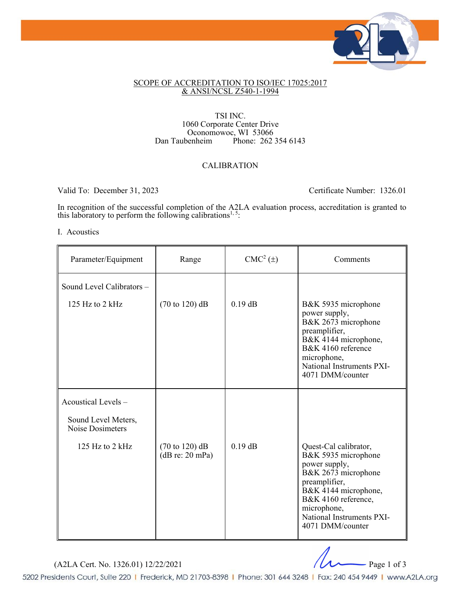

## SCOPE OF ACCREDITATION TO ISO/IEC 17025:2017 & ANSI/NCSL Z540-1-1994

### TSI INC. 1060 Corporate Center Drive Oconomowoc, WI 53066<br>Dan Taubenheim Phone: 262 Phone:  $262\,354\,6143$

# CALIBRATION

Valid To: December 31, 2023 Certificate Number: 1326.01

In recognition of the successful completion of the A2LA evaluation process, accreditation is granted to this laboratory to perform the following calibrations<sup>1,5</sup>:

## I. Acoustics

| Parameter/Equipment                                            | Range                                                | $CMC2(\pm)$ | Comments                                                                                                                                                                                                             |
|----------------------------------------------------------------|------------------------------------------------------|-------------|----------------------------------------------------------------------------------------------------------------------------------------------------------------------------------------------------------------------|
| Sound Level Calibrators -<br>125 Hz to $2$ kHz                 | $(70 \text{ to } 120) \text{ dB}$                    | $0.19$ dB   | B&K 5935 microphone                                                                                                                                                                                                  |
|                                                                |                                                      |             | power supply,<br>B&K 2673 microphone<br>preamplifier,<br>B&K 4144 microphone,<br>B&K 4160 reference<br>microphone,<br>National Instruments PXI-<br>4071 DMM/counter                                                  |
| Acoustical Levels -<br>Sound Level Meters,<br>Noise Dosimeters |                                                      |             |                                                                                                                                                                                                                      |
| 125 Hz to $2$ kHz                                              | $(70 \text{ to } 120) \text{ dB}$<br>(dB re: 20 mPa) | $0.19$ dB   | Quest-Cal calibrator,<br>B&K 5935 microphone<br>power supply,<br>B&K 2673 microphone<br>preamplifier,<br>B&K 4144 microphone,<br>B&K 4160 reference,<br>microphone,<br>National Instruments PXI-<br>4071 DMM/counter |

(A2LA Cert. No. 1326.01) 12/22/2021 Page 1 of 3

5202 Presidents Court, Suite 220 | Frederick, MD 21703-8398 | Phone: 301 644 3248 | Fax: 240 454 9449 | www.A2LA.org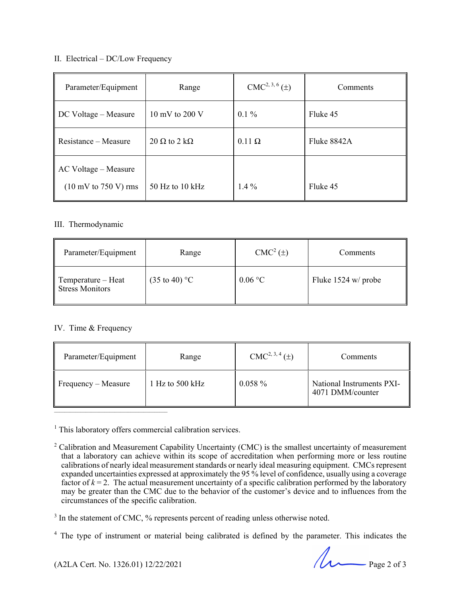## II. Electrical – DC/Low Frequency

| Parameter/Equipment                             | Range                      | $CMC2, 3, 6(\pm)$ | Comments    |
|-------------------------------------------------|----------------------------|-------------------|-------------|
| $\parallel$ DC Voltage – Measure                | 10 mV to 200 V             | $0.1\%$           | Fluke 45    |
| $\parallel$ Resistance – Measure                | $20 \Omega$ to $2 k\Omega$ | $0.11 \Omega$     | Fluke 8842A |
| $\parallel$ AC Voltage – Measure                |                            |                   |             |
| $(10 \text{ mV to } 750 \text{ V}) \text{ rms}$ | 50 Hz to 10 kHz            | $1.4\%$           | Fluke 45    |

# III. Thermodynamic

| Parameter/Equipment                               | Range                    | $CMC2(\pm)$ | Comments            |
|---------------------------------------------------|--------------------------|-------------|---------------------|
| $\parallel$ Temperature – Heat<br>Stress Monitors | $(35 \text{ to } 40)$ °C | 0.06 °C     | Fluke 1524 w/ probe |

# IV. Time & Frequency

 $\overline{\phantom{a}}$  ,  $\overline{\phantom{a}}$  ,  $\overline{\phantom{a}}$  ,  $\overline{\phantom{a}}$  ,  $\overline{\phantom{a}}$  ,  $\overline{\phantom{a}}$  ,  $\overline{\phantom{a}}$  ,  $\overline{\phantom{a}}$  ,  $\overline{\phantom{a}}$  ,  $\overline{\phantom{a}}$  ,  $\overline{\phantom{a}}$  ,  $\overline{\phantom{a}}$  ,  $\overline{\phantom{a}}$  ,  $\overline{\phantom{a}}$  ,  $\overline{\phantom{a}}$  ,  $\overline{\phantom{a}}$ 

| Parameter/Equipment             | Range                     | $CMC2, 3, 4(\pm)$ | Comments                                      |
|---------------------------------|---------------------------|-------------------|-----------------------------------------------|
| $\parallel$ Frequency – Measure | 1 Hz to $500 \text{ kHz}$ | $0.058\%$         | National Instruments PXI-<br>4071 DMM/counter |

<sup>1</sup> This laboratory offers commercial calibration services.

 $(42LA$  Cert. No. 1326.01) 12/22/2021 Page 2 of 3

<sup>&</sup>lt;sup>2</sup> Calibration and Measurement Capability Uncertainty (CMC) is the smallest uncertainty of measurement that a laboratory can achieve within its scope of accreditation when performing more or less routine calibrations of nearly ideal measurement standards or nearly ideal measuring equipment. CMCs represent expanded uncertainties expressed at approximately the 95 % level of confidence, usually using a coverage factor of  $k = 2$ . The actual measurement uncertainty of a specific calibration performed by the laboratory may be greater than the CMC due to the behavior of the customer's device and to influences from the circumstances of the specific calibration.

<sup>&</sup>lt;sup>3</sup> In the statement of CMC, % represents percent of reading unless otherwise noted.

<sup>&</sup>lt;sup>4</sup> The type of instrument or material being calibrated is defined by the parameter. This indicates the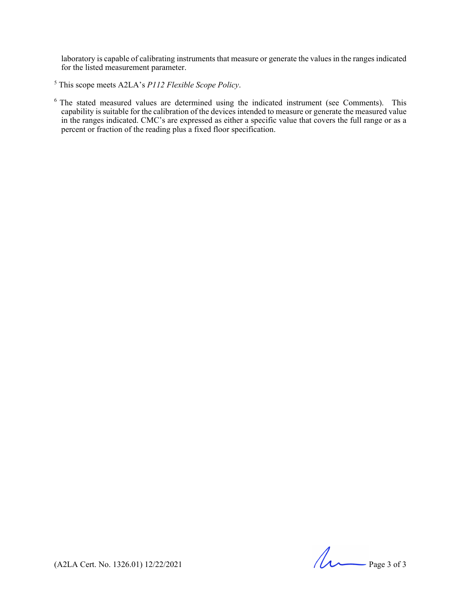laboratory is capable of calibrating instruments that measure or generate the values in the ranges indicated for the listed measurement parameter.

<sup>5</sup> This scope meets A2LA's *P112 Flexible Scope Policy*.

 $6$  The stated measured values are determined using the indicated instrument (see Comments). This capability is suitable for the calibration of the devices intended to measure or generate the measured value in the ranges indicated. CMC's are expressed as either a specific value that covers the full range or as a percent or fraction of the reading plus a fixed floor specification.

(A2LA Cert. No. 1326.01) 12/22/2021 Page 3 of 3